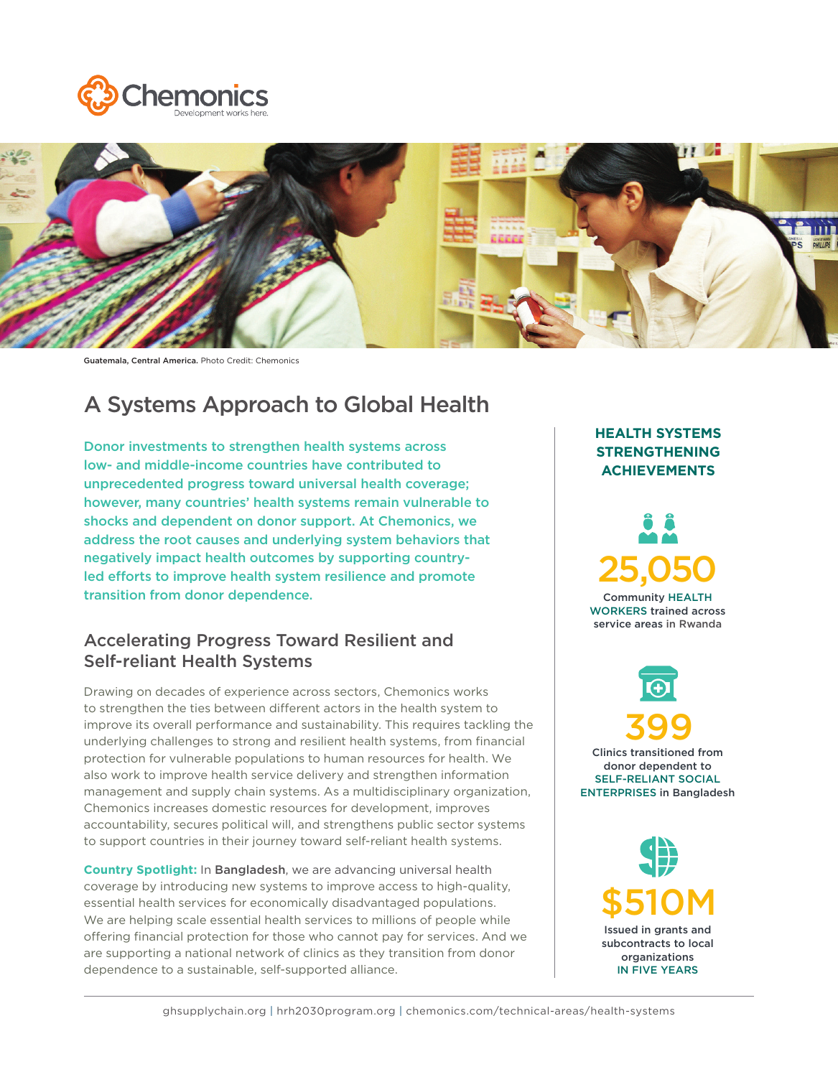



Guatemala, Central America. Photo Credit: Chemonics

# A Systems Approach to Global Health

Donor investments to strengthen health systems across low- and middle-income countries have contributed to unprecedented progress toward universal health coverage; however, many countries' health systems remain vulnerable to shocks and dependent on donor support. At Chemonics, we address the root causes and underlying system behaviors that negatively impact health outcomes by supporting countryled efforts to improve health system resilience and promote transition from donor dependence.

### Accelerating Progress Toward Resilient and Self-reliant Health Systems

Drawing on decades of experience across sectors, Chemonics works to strengthen the ties between different actors in the health system to improve its overall performance and sustainability. This requires tackling the underlying challenges to strong and resilient health systems, from financial protection for vulnerable populations to human resources for health. We also work to improve health service delivery and strengthen information management and supply chain systems. As a multidisciplinary organization, Chemonics increases domestic resources for development, improves accountability, secures political will, and strengthens public sector systems to support countries in their journey toward self-reliant health systems.

**Country Spotlight:** In Bangladesh, we are advancing universal health coverage by introducing new systems to improve access to high-quality, essential health services for economically disadvantaged populations. We are helping scale essential health services to millions of people while offering financial protection for those who cannot pay for services. And we are supporting a national network of clinics as they transition from donor dependence to a sustainable, self-supported alliance.

### **HEALTH SYSTEMS STRENGTHENING ACHIEVEMENTS**

Community HEALTH WORKERS trained across service areas in Rwanda 25,050

Clinics transitioned from donor dependent to SELF-RELIANT SOCIAL ENTERPRISES in Bangladesh 399

> \$510M Issued in grants and subcontracts to local organizations IN FIVE YEARS